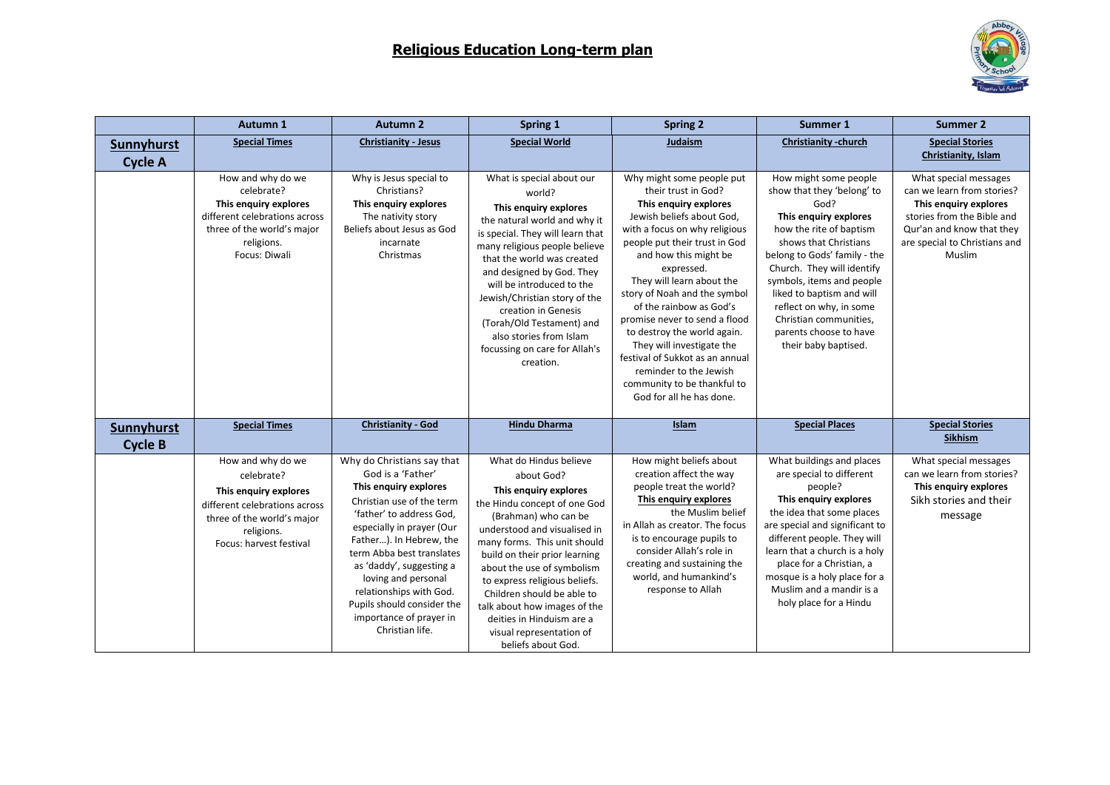

|                              | Autumn 1                                                                                                                                                         | <b>Autumn 2</b>                                                                                                                                                                                                                                                                                                                                                                  | Spring 1                                                                                                                                                                                                                                                                                                                                                                                                                           | <b>Spring 2</b>                                                                                                                                                                                                                                                                                                                                                                                                                                                                                                              | Summer 1                                                                                                                                                                                                                                                                                                                                                                | <b>Summer 2</b>                                                                                                                                                                    |
|------------------------------|------------------------------------------------------------------------------------------------------------------------------------------------------------------|----------------------------------------------------------------------------------------------------------------------------------------------------------------------------------------------------------------------------------------------------------------------------------------------------------------------------------------------------------------------------------|------------------------------------------------------------------------------------------------------------------------------------------------------------------------------------------------------------------------------------------------------------------------------------------------------------------------------------------------------------------------------------------------------------------------------------|------------------------------------------------------------------------------------------------------------------------------------------------------------------------------------------------------------------------------------------------------------------------------------------------------------------------------------------------------------------------------------------------------------------------------------------------------------------------------------------------------------------------------|-------------------------------------------------------------------------------------------------------------------------------------------------------------------------------------------------------------------------------------------------------------------------------------------------------------------------------------------------------------------------|------------------------------------------------------------------------------------------------------------------------------------------------------------------------------------|
| <b>Sunnyhurst</b>            | <b>Special Times</b>                                                                                                                                             | <b>Christianity - Jesus</b>                                                                                                                                                                                                                                                                                                                                                      | <b>Special World</b>                                                                                                                                                                                                                                                                                                                                                                                                               | Judaism                                                                                                                                                                                                                                                                                                                                                                                                                                                                                                                      | <b>Christianity -church</b>                                                                                                                                                                                                                                                                                                                                             | <b>Special Stories</b>                                                                                                                                                             |
| <b>Cycle A</b>               |                                                                                                                                                                  |                                                                                                                                                                                                                                                                                                                                                                                  |                                                                                                                                                                                                                                                                                                                                                                                                                                    |                                                                                                                                                                                                                                                                                                                                                                                                                                                                                                                              |                                                                                                                                                                                                                                                                                                                                                                         | Christianity, Islam                                                                                                                                                                |
|                              | How and why do we<br>celebrate?<br>This enguiry explores<br>different celebrations across<br>three of the world's major<br>religions.<br>Focus: Diwali           | Why is Jesus special to<br>Christians?<br>This enquiry explores<br>The nativity story<br>Beliefs about Jesus as God<br>incarnate<br>Christmas                                                                                                                                                                                                                                    | What is special about our<br>world?<br>This enquiry explores<br>the natural world and why it<br>is special. They will learn that<br>many religious people believe<br>that the world was created<br>and designed by God. They<br>will be introduced to the<br>Jewish/Christian story of the<br>creation in Genesis<br>(Torah/Old Testament) and<br>also stories from Islam<br>focussing on care for Allah's<br>creation.            | Why might some people put<br>their trust in God?<br>This enquiry explores<br>Jewish beliefs about God,<br>with a focus on why religious<br>people put their trust in God<br>and how this might be<br>expressed.<br>They will learn about the<br>story of Noah and the symbol<br>of the rainbow as God's<br>promise never to send a flood<br>to destroy the world again.<br>They will investigate the<br>festival of Sukkot as an annual<br>reminder to the Jewish<br>community to be thankful to<br>God for all he has done. | How might some people<br>show that they 'belong' to<br>God?<br>This enquiry explores<br>how the rite of baptism<br>shows that Christians<br>belong to Gods' family - the<br>Church. They will identify<br>symbols, items and people<br>liked to baptism and will<br>reflect on why, in some<br>Christian communities,<br>parents choose to have<br>their baby baptised. | What special messages<br>can we learn from stories?<br>This enquiry explores<br>stories from the Bible and<br>Qur'an and know that they<br>are special to Christians and<br>Muslim |
| Sunnyhurst<br><b>Cycle B</b> | <b>Special Times</b>                                                                                                                                             | <b>Christianity - God</b>                                                                                                                                                                                                                                                                                                                                                        | <b>Hindu Dharma</b>                                                                                                                                                                                                                                                                                                                                                                                                                | Islam                                                                                                                                                                                                                                                                                                                                                                                                                                                                                                                        | <b>Special Places</b>                                                                                                                                                                                                                                                                                                                                                   | <b>Special Stories</b><br>Sikhism                                                                                                                                                  |
|                              | How and why do we<br>celebrate?<br>This enguiry explores<br>different celebrations across<br>three of the world's major<br>religions.<br>Focus: harvest festival | Why do Christians say that<br>God is a 'Father'<br>This enquiry explores<br>Christian use of the term<br>'father' to address God,<br>especially in prayer (Our<br>Father). In Hebrew, the<br>term Abba best translates<br>as 'daddy', suggesting a<br>loving and personal<br>relationships with God.<br>Pupils should consider the<br>importance of prayer in<br>Christian life. | What do Hindus believe<br>about God?<br>This enguiry explores<br>the Hindu concept of one God<br>(Brahman) who can be<br>understood and visualised in<br>many forms. This unit should<br>build on their prior learning<br>about the use of symbolism<br>to express religious beliefs.<br>Children should be able to<br>talk about how images of the<br>deities in Hinduism are a<br>visual representation of<br>beliefs about God. | How might beliefs about<br>creation affect the way<br>people treat the world?<br>This enquiry explores<br>the Muslim belief<br>in Allah as creator. The focus<br>is to encourage pupils to<br>consider Allah's role in<br>creating and sustaining the<br>world, and humankind's<br>response to Allah                                                                                                                                                                                                                         | What buildings and places<br>are special to different<br>people?<br>This enguiry explores<br>the idea that some places<br>are special and significant to<br>different people. They will<br>learn that a church is a holy<br>place for a Christian, a<br>mosque is a holy place for a<br>Muslim and a mandir is a<br>holy place for a Hindu                              | What special messages<br>can we learn from stories?<br>This enquiry explores<br>Sikh stories and their<br>message                                                                  |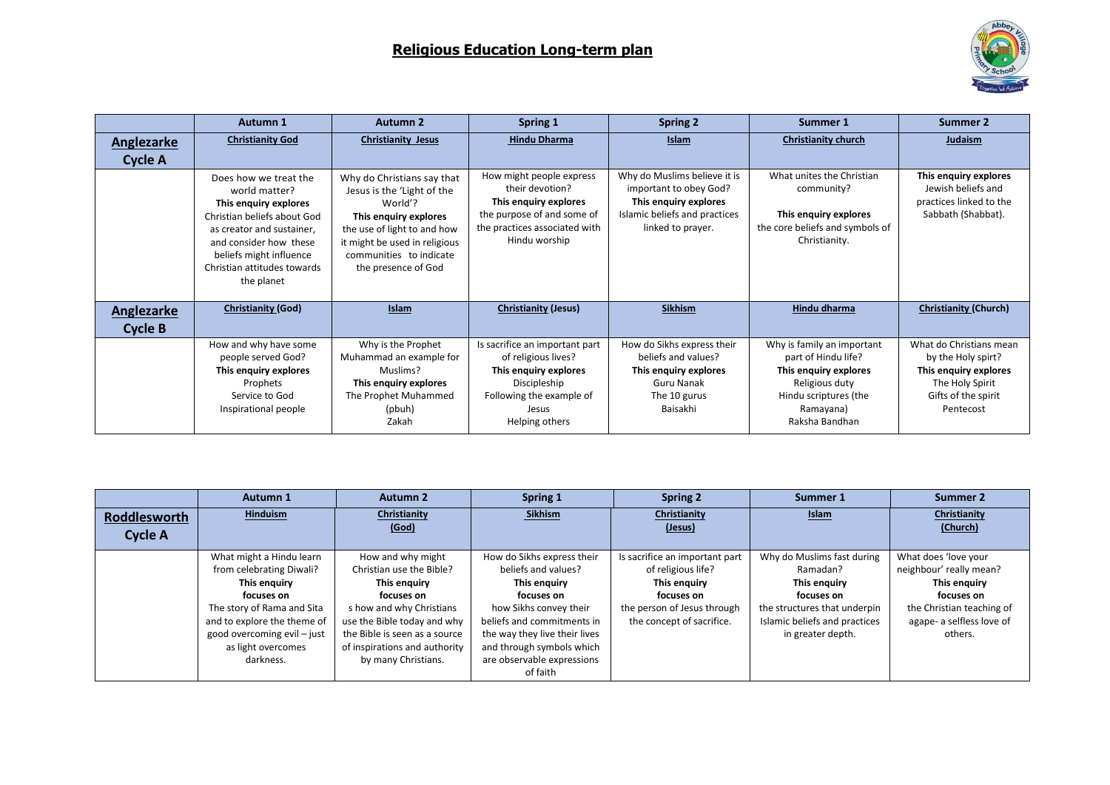

|                              | Autumn 1                                                                                                                                                                                                                      | <b>Autumn 2</b>                                                                                                                                                                                                | Spring 1                                                                                                                                              | <b>Spring 2</b>                                                                                                                       | Summer 1                                                                                                                                             | Summer 2                                                                                                                      |
|------------------------------|-------------------------------------------------------------------------------------------------------------------------------------------------------------------------------------------------------------------------------|----------------------------------------------------------------------------------------------------------------------------------------------------------------------------------------------------------------|-------------------------------------------------------------------------------------------------------------------------------------------------------|---------------------------------------------------------------------------------------------------------------------------------------|------------------------------------------------------------------------------------------------------------------------------------------------------|-------------------------------------------------------------------------------------------------------------------------------|
| Anglezarke                   | <b>Christianity God</b>                                                                                                                                                                                                       | <b>Christianity Jesus</b>                                                                                                                                                                                      | <b>Hindu Dharma</b>                                                                                                                                   | <b>Islam</b>                                                                                                                          | <b>Christianity church</b>                                                                                                                           | Judaism                                                                                                                       |
| <b>Cycle A</b>               | Does how we treat the<br>world matter?<br>This enquiry explores<br>Christian beliefs about God<br>as creator and sustainer,<br>and consider how these<br>beliefs might influence<br>Christian attitudes towards<br>the planet | Why do Christians say that<br>Jesus is the 'Light of the<br>World'?<br>This enquiry explores<br>the use of light to and how<br>it might be used in religious<br>communities to indicate<br>the presence of God | How might people express<br>their devotion?<br>This enquiry explores<br>the purpose of and some of<br>the practices associated with<br>Hindu worship  | Why do Muslims believe it is<br>important to obey God?<br>This enquiry explores<br>Islamic beliefs and practices<br>linked to prayer. | What unites the Christian<br>community?<br>This enquiry explores<br>the core beliefs and symbols of<br>Christianity.                                 | This enquiry explores<br>Jewish beliefs and<br>practices linked to the<br>Sabbath (Shabbat).                                  |
| Anglezarke<br><b>Cycle B</b> | <b>Christianity (God)</b>                                                                                                                                                                                                     | Islam                                                                                                                                                                                                          | <b>Christianity (Jesus)</b>                                                                                                                           | <b>Sikhism</b>                                                                                                                        | Hindu dharma                                                                                                                                         | <b>Christianity (Church)</b>                                                                                                  |
|                              | How and why have some<br>people served God?<br>This enquiry explores<br>Prophets<br>Service to God<br>Inspirational people                                                                                                    | Why is the Prophet<br>Muhammad an example for<br>Muslims?<br>This enquiry explores<br>The Prophet Muhammed<br>(pbuh)<br>Zakah                                                                                  | Is sacrifice an important part<br>of religious lives?<br>This enquiry explores<br>Discipleship<br>Following the example of<br>Jesus<br>Helping others | How do Sikhs express their<br>beliefs and values?<br>This enguiry explores<br><b>Guru Nanak</b><br>The 10 gurus<br>Baisakhi           | Why is family an important<br>part of Hindu life?<br>This enguiry explores<br>Religious duty<br>Hindu scriptures (the<br>Ramayana)<br>Raksha Bandhan | What do Christians mean<br>by the Holy spirt?<br>This enquiry explores<br>The Holy Spirit<br>Gifts of the spirit<br>Pentecost |

|                                       | Autumn 1                                                                                                                                                                                                          | <b>Autumn 2</b>                                                                                                                                                                                                                 | Spring 1                                                                                                                                                                                                                                        | <b>Spring 2</b>                                                                                                                                | Summer 1                                                                                                                                                   | Summer 2                                                                                                                                           |
|---------------------------------------|-------------------------------------------------------------------------------------------------------------------------------------------------------------------------------------------------------------------|---------------------------------------------------------------------------------------------------------------------------------------------------------------------------------------------------------------------------------|-------------------------------------------------------------------------------------------------------------------------------------------------------------------------------------------------------------------------------------------------|------------------------------------------------------------------------------------------------------------------------------------------------|------------------------------------------------------------------------------------------------------------------------------------------------------------|----------------------------------------------------------------------------------------------------------------------------------------------------|
| <b>Roddlesworth</b><br><b>Cycle A</b> | Hinduism                                                                                                                                                                                                          | Christianity<br>(God)                                                                                                                                                                                                           | Sikhism                                                                                                                                                                                                                                         | Christianity<br>(Jesus)                                                                                                                        | Islam                                                                                                                                                      | Christianity<br>(Church)                                                                                                                           |
|                                       | What might a Hindu learn<br>from celebrating Diwali?<br>This enquiry<br>focuses on<br>The story of Rama and Sita<br>and to explore the theme of<br>good overcoming evil - just<br>as light overcomes<br>darkness. | How and why might<br>Christian use the Bible?<br>This enguiry<br>focuses on<br>s how and why Christians<br>use the Bible today and why<br>the Bible is seen as a source<br>of inspirations and authority<br>by many Christians. | How do Sikhs express their<br>beliefs and values?<br>This enguiry<br>focuses on<br>how Sikhs convey their<br>beliefs and commitments in<br>the way they live their lives<br>and through symbols which<br>are observable expressions<br>of faith | Is sacrifice an important part<br>of religious life?<br>This enguiry<br>focuses on<br>the person of Jesus through<br>the concept of sacrifice. | Why do Muslims fast during<br>Ramadan?<br>This enguiry<br>focuses on<br>the structures that underpin<br>Islamic beliefs and practices<br>in greater depth. | What does 'love your<br>neighbour' really mean?<br>This enguiry<br>focuses on<br>the Christian teaching of<br>agape- a selfless love of<br>others. |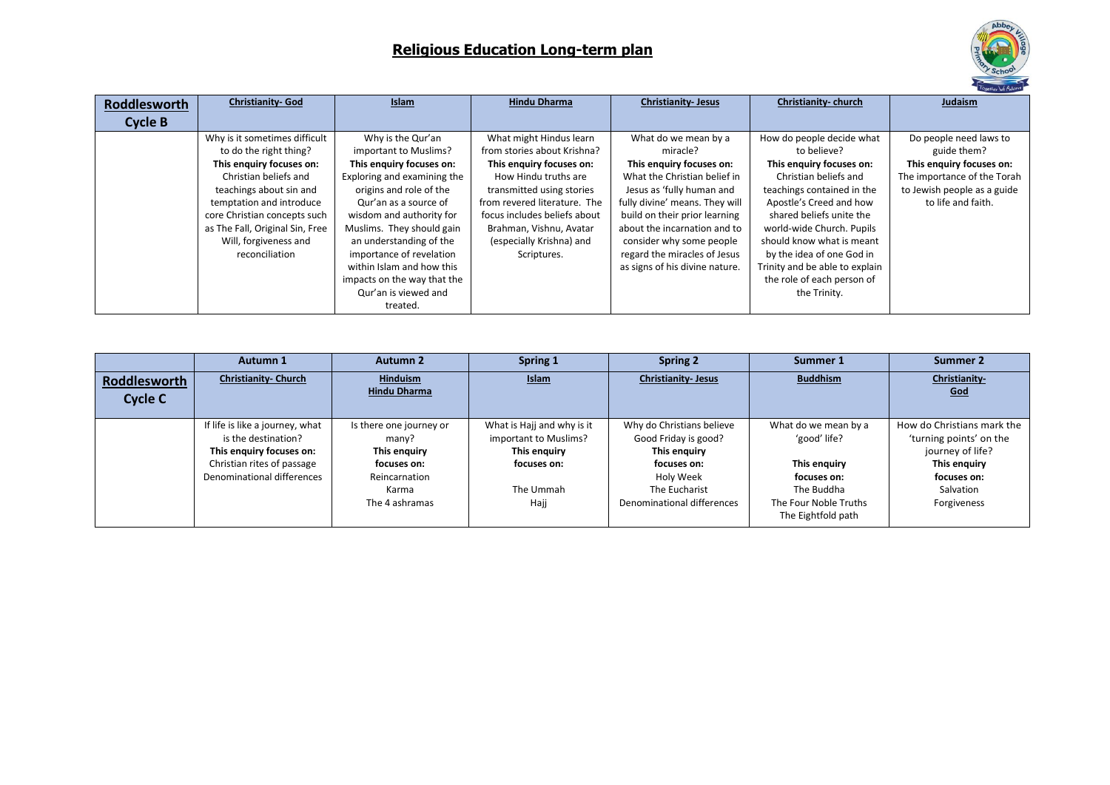

| Roddlesworth   | <b>Christianity-God</b>         | <b>Islam</b>                | <b>Hindu Dharma</b>          | <b>Christianity-Jesus</b>      | Christianity-church            | Judaism                     |
|----------------|---------------------------------|-----------------------------|------------------------------|--------------------------------|--------------------------------|-----------------------------|
| <b>Cycle B</b> |                                 |                             |                              |                                |                                |                             |
|                | Why is it sometimes difficult   | Why is the Qur'an           | What might Hindus learn      | What do we mean by a           | How do people decide what      | Do people need laws to      |
|                | to do the right thing?          | important to Muslims?       | from stories about Krishna?  | miracle?                       | to believe?                    | guide them?                 |
|                | This enguiry focuses on:        | This enguiry focuses on:    | This enguiry focuses on:     | This enguiry focuses on:       | This enquiry focuses on:       | This enguiry focuses on:    |
|                | Christian beliefs and           | Exploring and examining the | How Hindu truths are         | What the Christian belief in   | Christian beliefs and          | The importance of the Torah |
|                | teachings about sin and         | origins and role of the     | transmitted using stories    | Jesus as 'fully human and      | teachings contained in the     | to Jewish people as a guide |
|                | temptation and introduce        | Qur'an as a source of       | from revered literature. The | fully divine' means. They will | Apostle's Creed and how        | to life and faith.          |
|                | core Christian concepts such    | wisdom and authority for    | focus includes beliefs about | build on their prior learning  | shared beliefs unite the       |                             |
|                | as The Fall, Original Sin, Free | Muslims. They should gain   | Brahman, Vishnu, Avatar      | about the incarnation and to   | world-wide Church. Pupils      |                             |
|                | Will, forgiveness and           | an understanding of the     | (especially Krishna) and     | consider why some people       | should know what is meant      |                             |
|                | reconciliation                  | importance of revelation    | Scriptures.                  | regard the miracles of Jesus   | by the idea of one God in      |                             |
|                |                                 | within Islam and how this   |                              | as signs of his divine nature. | Trinity and be able to explain |                             |
|                |                                 | impacts on the way that the |                              |                                | the role of each person of     |                             |
|                |                                 | Qur'an is viewed and        |                              |                                | the Trinity.                   |                             |
|                |                                 | treated.                    |                              |                                |                                |                             |

|                                | Autumn 1                                                                                                                                       | <b>Autumn 2</b>                                                                                             | Spring 1                                                                                                | <b>Spring 2</b>                                                                                                                              | Summer 1                                                                                                                         | Summer 2                                                                                                                             |
|--------------------------------|------------------------------------------------------------------------------------------------------------------------------------------------|-------------------------------------------------------------------------------------------------------------|---------------------------------------------------------------------------------------------------------|----------------------------------------------------------------------------------------------------------------------------------------------|----------------------------------------------------------------------------------------------------------------------------------|--------------------------------------------------------------------------------------------------------------------------------------|
| Roddlesworth<br><b>Cycle C</b> | <b>Christianity- Church</b>                                                                                                                    | <b>Hinduism</b><br><b>Hindu Dharma</b>                                                                      | Islam                                                                                                   | <b>Christianity-Jesus</b>                                                                                                                    | <b>Buddhism</b>                                                                                                                  | Christianity-<br>God                                                                                                                 |
|                                | If life is like a journey, what<br>is the destination?<br>This enquiry focuses on:<br>Christian rites of passage<br>Denominational differences | Is there one journey or<br>many?<br>This enguiry<br>focuses on:<br>Reincarnation<br>Karma<br>The 4 ashramas | What is Hajj and why is it<br>important to Muslims?<br>This enquiry<br>focuses on:<br>The Ummah<br>Hajj | Why do Christians believe<br>Good Friday is good?<br>This enguiry<br>focuses on:<br>Holy Week<br>The Eucharist<br>Denominational differences | What do we mean by a<br>'good' life?<br>This enguiry<br>focuses on:<br>The Buddha<br>The Four Noble Truths<br>The Eightfold path | How do Christians mark the<br>'turning points' on the<br>journey of life?<br>This enguiry<br>focuses on:<br>Salvation<br>Forgiveness |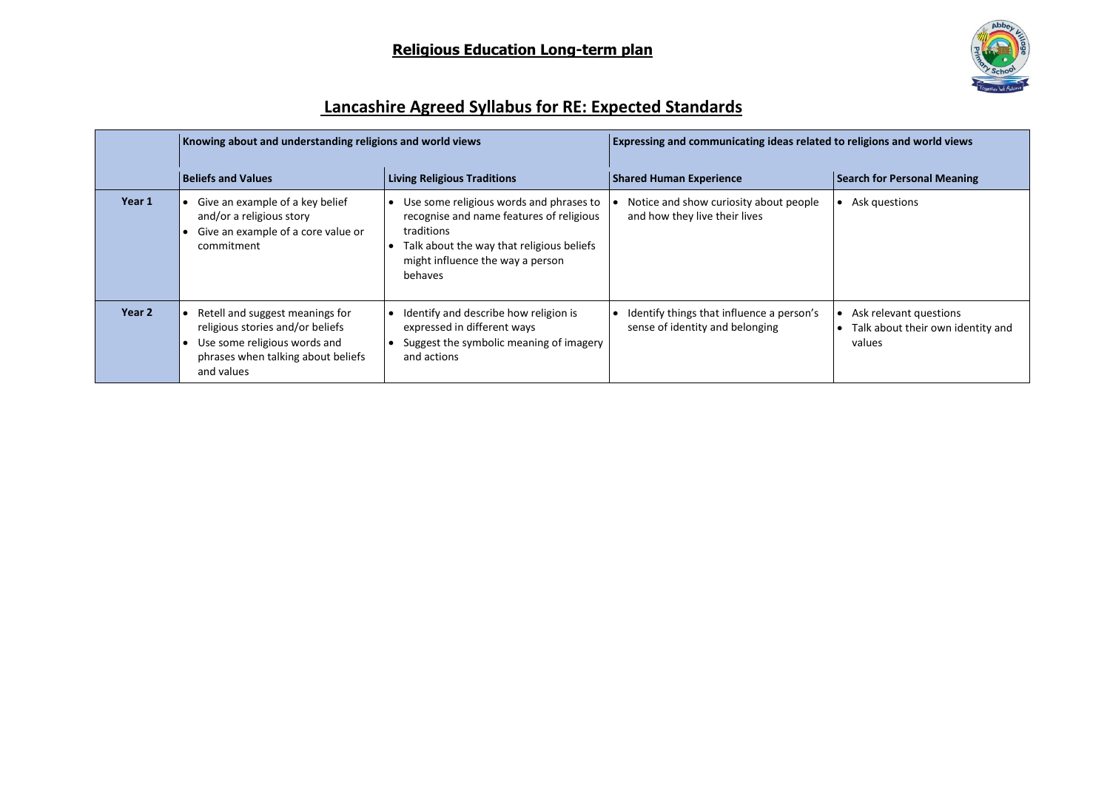

# **Lancashire Agreed Syllabus for RE: Expected Standards**

|        | Knowing about and understanding religions and world views                                                                                               |                                                                                                                                                                                               | Expressing and communicating ideas related to religions and world views      |                                                                       |  |
|--------|---------------------------------------------------------------------------------------------------------------------------------------------------------|-----------------------------------------------------------------------------------------------------------------------------------------------------------------------------------------------|------------------------------------------------------------------------------|-----------------------------------------------------------------------|--|
|        | <b>Beliefs and Values</b><br><b>Living Religious Traditions</b>                                                                                         |                                                                                                                                                                                               | <b>Shared Human Experience</b><br><b>Search for Personal Meaning</b>         |                                                                       |  |
| Year 1 | Give an example of a key belief<br>and/or a religious story<br>Give an example of a core value or<br>commitment                                         | Use some religious words and phrases to<br>recognise and name features of religious<br>traditions<br>Talk about the way that religious beliefs<br>might influence the way a person<br>behaves | Notice and show curiosity about people<br>and how they live their lives      | Ask questions                                                         |  |
| Year 2 | Retell and suggest meanings for<br>religious stories and/or beliefs<br>Use some religious words and<br>phrases when talking about beliefs<br>and values | Identify and describe how religion is<br>expressed in different ways<br>Suggest the symbolic meaning of imagery<br>and actions                                                                | Identify things that influence a person's<br>sense of identity and belonging | Ask relevant questions<br>Talk about their own identity and<br>values |  |